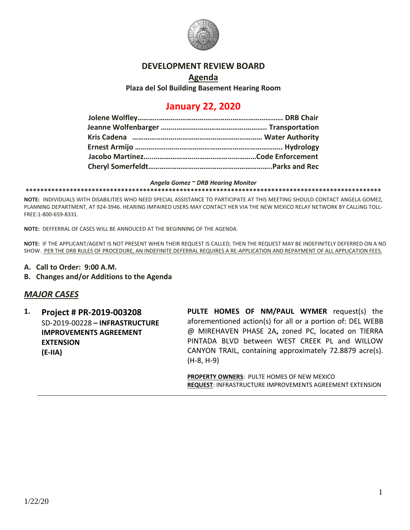

## **DEVELOPMENT REVIEW BOARD**

#### **Agenda**

**Plaza del Sol Building Basement Hearing Room**

# **January 22, 2020**

#### *Angela Gomez ~ DRB Hearing Monitor*

**\*\*\*\*\*\*\*\*\*\*\*\*\*\*\*\*\*\*\*\*\*\*\*\*\*\*\*\*\*\*\*\*\*\*\*\*\*\*\*\*\*\*\*\*\*\*\*\*\*\*\*\*\*\*\*\*\*\*\*\*\*\*\*\*\*\*\*\*\*\*\*\*\*\*\*\*\*\*\*\*\*\*\*\*\*\*\*\*\*\*\*\*\*\*\*\*\***

**NOTE:** INDIVIDUALS WITH DISABILITIES WHO NEED SPECIAL ASSISTANCE TO PARTICIPATE AT THIS MEETING SHOULD CONTACT ANGELA GOMEZ, PLANNING DEPARTMENT, AT 924-3946. HEARING IMPAIRED USERS MAY CONTACT HER VIA THE NEW MEXICO RELAY NETWORK BY CALLING TOLL-FREE:1-800-659-8331.

**NOTE:** DEFFERRAL OF CASES WILL BE ANNOUCED AT THE BEGINNING OF THE AGENDA.

**NOTE:** IF THE APPLICANT/AGENT IS NOT PRESENT WHEN THEIR REQUEST IS CALLED, THEN THE REQUEST MAY BE INDEFINITELY DEFERRED ON A NO SHOW. PER THE DRB RULES OF PROCEDURE, AN INDEFINITE DEFERRAL REQUIRES A RE-APPLICATION AND REPAYMENT OF ALL APPLICATION FEES.

- **A. Call to Order: 9:00 A.M.**
- **B. Changes and/or Additions to the Agenda**

## *MAJOR CASES*

**1. Project # PR-2019-003208** SD-2019-00228 **– INFRASTRUCTURE IMPROVEMENTS AGREEMENT EXTENSION (E-IIA) PULTE HOMES OF NM/PAUL WYMER** request(s) the aforementioned action(s) for all or a portion of: DEL WEBB @ MIREHAVEN PHASE 2A**,** zoned PC, located on TIERRA PINTADA BLVD between WEST CREEK PL and WILLOW CANYON TRAIL, containing approximately 72.8879 acre(s). (H-8, H-9)

> **PROPERTY OWNERS**: PULTE HOMES OF NEW MEXICO **REQUEST**: INFRASTRUCTURE IMPROVEMENTS AGREEMENT EXTENSION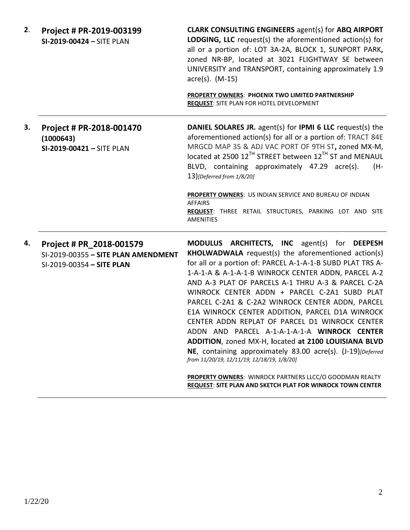**2**. **Project # PR-2019-003199 SI-2019-00424 –** SITE PLAN

**CLARK CONSULTING ENGINEERS** agent(s) for **ABQ AIRPORT LODGING, LLC** request(s) the aforementioned action(s) for all or a portion of: LOT 3A-2A, BLOCK 1, SUNPORT PARK**,**  zoned NR-BP, located at 3021 FLIGHTWAY SE between UNIVERSITY and TRANSPORT, containing approximately 1.9 acre(s). (M-15)

**PROPERTY OWNERS**: **PHOENIX TWO LIMITED PARTNERSHIP REQUEST**: SITE PLAN FOR HOTEL DEVELOPMENT

**3. Project # PR-2018-001470 (1000643) SI-2019-00421 –** SITE PLAN **DANIEL SOLARES JR.** agent(s) for **IPMI 6 LLC** request(s) the aforementioned action(s) for all or a portion of: TRACT 84E MRGCD MAP 35 & ADJ VAC PORT OF 9TH ST**,** zoned MX-M, located at 2500 12<sup>TH</sup> STREET between 12<sup>TH</sup> ST and MENAUL BLVD, containing approximately 47.29 acre(s). (H-13)*[Deferred from 1/8/20]*

> **PROPERTY OWNERS**: US INDIAN SERVICE AND BUREAU OF INDIAN AFFAIRS **REQUEST**: THREE RETAIL STRUCTURES, PARKING LOT AND SITE AMENITIES

**4. Project # PR\_2018-001579** SI-2019-00355 **– SITE PLAN AMENDMENT** SI-2019-00354 **– SITE PLAN**

**MODULUS ARCHITECTS, INC** agent(s) for **DEEPESH KHOLWADWALA** request(s) the aforementioned action(s) for all or a portion of: PARCEL A-1-A-1-B SUBD PLAT TRS A-1-A-1-A & A-1-A-1-B WINROCK CENTER ADDN, PARCEL A-2 AND A-3 PLAT OF PARCELS A-1 THRU A-3 & PARCEL C-2A WINROCK CENTER ADDN + PARCEL C-2A1 SUBD PLAT PARCEL C-2A1 & C-2A2 WINROCK CENTER ADDN, PARCEL E1A WINROCK CENTER ADDITION, PARCEL D1A WINROCK CENTER ADDN REPLAT OF PARCEL D1 WINROCK CENTER ADDN AND PARCEL A-1-A-1-A-1-A **WINROCK CENTER ADDITION**, zoned MX-H, **l**ocated **at 2100 LOUISIANA BLVD NE**, containing approximately 83.00 acre(s). (J-19)*[Deferred from 11/20/19, 12/11/19, 12/18/19, 1/8/20]*

**PROPERTY OWNERS**: WINROCK PARTNERS LLCC/O GOODMAN REALTY **REQUEST**: **SITE PLAN AND SKETCH PLAT FOR WINROCK TOWN CENTER**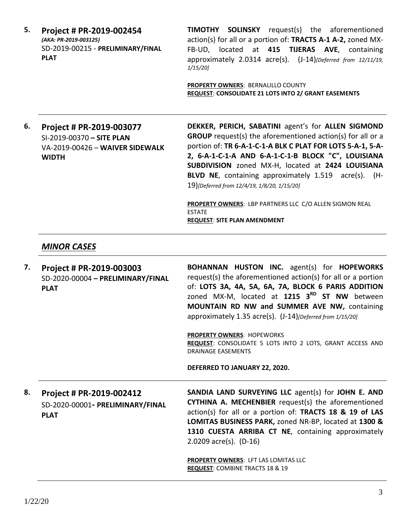| 5. | Project # PR-2019-002454          |  |  |
|----|-----------------------------------|--|--|
|    | (AKA: PR-2019-003125)             |  |  |
|    | SD-2019-00215 - PRELIMINARY/FINAL |  |  |
|    | <b>PLAT</b>                       |  |  |

**TIMOTHY SOLINSKY** request(s) the aforementioned action(s) for all or a portion of: **TRACTS A-1 A-2,** zoned MX-FB-UD, located at **415 TIJERAS AVE**, containing approximately 2.0314 acre(s). (J-14)*[Deferred from 12/11/19, 1/15/20]*

**PROPERTY OWNERS**: BERNALILLO COUNTY **REQUEST**: **CONSOLIDATE 21 LOTS INTO 2/ GRANT EASEMENTS**

## **6. Project # PR-2019-003077** SI-2019-00370 **– SITE PLAN** VA-2019-00426 – **WAIVER SIDEWALK WIDTH**

**DEKKER, PERICH, SABATINI** agent's for **ALLEN SIGMOND GROUP** request(s) the aforementioned action(s) for all or a portion of: **TR 6-A-1-C-1-A BLK C PLAT FOR LOTS 5-A-1, 5-A-2, 6-A-1-C-1-A AND 6-A-1-C-1-B BLOCK "C", LOUISIANA SUBDIVISION** zoned MX-H, located at **2424 LOUISIANA BLVD NE**, containing approximately 1.519 acre(s). (H-19)*[Deferred from 12/4/19, 1/8/20, 1/15/20]*

**PROPERTY OWNERS**: LBP PARTNERS LLC C/O ALLEN SIGMON REAL ESTATE **REQUEST**: **SITE PLAN AMENDMENT**

# *MINOR CASES*

| 7. | Project # PR-2019-003003<br>SD-2020-00004 - PRELIMINARY/FINAL<br><b>PLAT</b> | <b>BOHANNAN HUSTON INC.</b> agent(s) for <b>HOPEWORKS</b><br>request(s) the aforementioned action(s) for all or a portion<br>of: LOTS 3A, 4A, 5A, 6A, 7A, BLOCK 6 PARIS ADDITION<br>zoned MX-M, located at 1215 3RD ST NW between<br>MOUNTAIN RD NW and SUMMER AVE NW, containing<br>approximately 1.35 acre(s). (J-14) [Deferred from 1/15/20]<br><b>PROPERTY OWNERS: HOPEWORKS</b><br>REQUEST: CONSOLIDATE 5 LOTS INTO 2 LOTS, GRANT ACCESS AND<br><b>DRAINAGE EASEMENTS</b><br>DEFERRED TO JANUARY 22, 2020. |
|----|------------------------------------------------------------------------------|-----------------------------------------------------------------------------------------------------------------------------------------------------------------------------------------------------------------------------------------------------------------------------------------------------------------------------------------------------------------------------------------------------------------------------------------------------------------------------------------------------------------|
| 8. | Project # PR-2019-002412<br>SD-2020-00001- PRELIMINARY/FINAL<br><b>PLAT</b>  | SANDIA LAND SURVEYING LLC agent(s) for JOHN E. AND<br><b>CYTHINA A. MECHENBIER</b> request(s) the aforementioned<br>action(s) for all or a portion of: TRACTS 18 & 19 of LAS<br>LOMITAS BUSINESS PARK, zoned NR-BP, located at 1300 &<br>1310 CUESTA ARRIBA CT NE, containing approximately<br>2.0209 $\arccos 0$ . (D-16)<br>PROPERTY OWNERS: LFT LAS LOMITAS LLC<br><b>REQUEST: COMBINE TRACTS 18 &amp; 19</b>                                                                                                |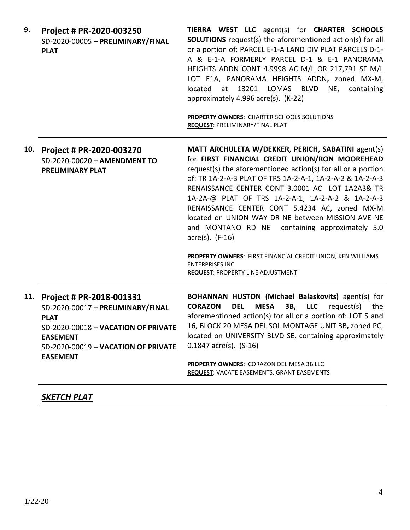| 9.  | Project # PR-2020-003250<br>SD-2020-00005 - PRELIMINARY/FINAL<br><b>PLAT</b>                                                                                                                     | TIERRA WEST LLC agent(s) for CHARTER SCHOOLS<br><b>SOLUTIONS</b> request(s) the aforementioned action(s) for all<br>or a portion of: PARCEL E-1-A LAND DIV PLAT PARCELS D-1-<br>A & E-1-A FORMERLY PARCEL D-1 & E-1 PANORAMA<br>HEIGHTS ADDN CONT 4.9998 AC M/L OR 217,791 SF M/L<br>LOT E1A, PANORAMA HEIGHTS ADDN, zoned MX-M,<br>13201<br>located<br>LOMAS<br><b>BLVD</b><br>NE,<br>at<br>containing<br>approximately 4.996 acre(s). (K-22)<br><b>PROPERTY OWNERS: CHARTER SCHOOLS SOLUTIONS</b><br><b>REQUEST: PRELIMINARY/FINAL PLAT</b>                                                                       |
|-----|--------------------------------------------------------------------------------------------------------------------------------------------------------------------------------------------------|---------------------------------------------------------------------------------------------------------------------------------------------------------------------------------------------------------------------------------------------------------------------------------------------------------------------------------------------------------------------------------------------------------------------------------------------------------------------------------------------------------------------------------------------------------------------------------------------------------------------|
| 10. | Project # PR-2020-003270<br>SD-2020-00020 - AMENDMENT TO<br><b>PRELIMINARY PLAT</b>                                                                                                              | MATT ARCHULETA W/DEKKER, PERICH, SABATINI agent(s)<br>for FIRST FINANCIAL CREDIT UNION/RON MOOREHEAD<br>request(s) the aforementioned action(s) for all or a portion<br>of: TR 1A-2-A-3 PLAT OF TRS 1A-2-A-1, 1A-2-A-2 & 1A-2-A-3<br>RENAISSANCE CENTER CONT 3.0001 AC LOT 1A2A3& TR<br>1A-2A-@ PLAT OF TRS 1A-2-A-1, 1A-2-A-2 & 1A-2-A-3<br>RENAISSANCE CENTER CONT 5.4234 AC, zoned MX-M<br>located on UNION WAY DR NE between MISSION AVE NE<br>and MONTANO RD NE containing approximately 5.0<br>$\arccos(5)$ . (F-16)<br>PROPERTY OWNERS: FIRST FINANCIAL CREDIT UNION, KEN WILLIAMS<br><b>ENTERPRISES INC</b> |
|     |                                                                                                                                                                                                  | <b>REQUEST: PROPERTY LINE ADJUSTMENT</b>                                                                                                                                                                                                                                                                                                                                                                                                                                                                                                                                                                            |
| 11. | Project # PR-2018-001331<br>SD-2020-00017 - PRELIMINARY/FINAL<br><b>PLAT</b><br>SD-2020-00018 - VACATION OF PRIVATE<br><b>EASEMENT</b><br>SD-2020-00019 - VACATION OF PRIVATE<br><b>EASEMENT</b> | BOHANNAN HUSTON (Michael Balaskovits) agent(s) for<br><b>CORAZON</b><br><b>DEL</b><br><b>MESA</b><br><b>3B, LLC</b> request(s)<br>the<br>aforementioned action(s) for all or a portion of: LOT 5 and<br>16, BLOCK 20 MESA DEL SOL MONTAGE UNIT 3B, zoned PC,<br>located on UNIVERSITY BLVD SE, containing approximately<br>$0.1847$ acre(s). $(S-16)$<br>PROPERTY OWNERS: CORAZON DEL MESA 3B LLC<br><b>REQUEST: VACATE EASEMENTS, GRANT EASEMENTS</b>                                                                                                                                                              |

# *SKETCH PLAT*